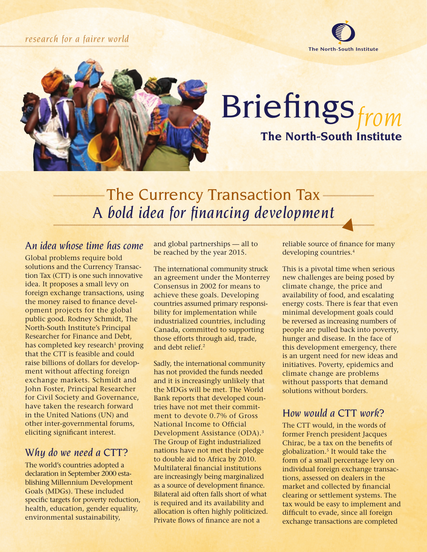#### *research for a fairer world*





## Briefings*from* **The North-South Institute**

### -The Currency Transaction Tax -*A bold idea for financing development*

#### *An idea whose time has come*

Global problems require bold solutions and the Currency Transaction Tax (CTT) is one such innovative idea. It proposes a small levy on foreign exchange transactions, using the money raised to finance development projects for the global public good. Rodney Schmidt, The North-South Institute's Principal Researcher for Finance and Debt, has completed key research<sup>1</sup> proving that the CTT is feasible and could raise billions of dollars for development without affecting foreign exchange markets. Schmidt and John Foster, Principal Researcher for Civil Society and Governance, have taken the research forward in the United Nations (UN) and other inter-governmental forums, eliciting significant interest.

#### *Why do we need a CTT?*

The world's countries adopted a declaration in September 2000 establishing Millennium Development Goals (MDGs). These included specific targets for poverty reduction, health, education, gender equality, environmental sustainability,

and global partnerships — all to be reached by the year 2015.

The international community struck an agreement under the Monterrey Consensus in 2002 for means to achieve these goals. Developing countries assumed primary responsibility for implementation while industrialized countries, including Canada, committed to supporting those efforts through aid, trade, and debt relief.<sup>2</sup>

Sadly, the international community has not provided the funds needed and it is increasingly unlikely that the MDGs will be met. The World Bank reports that developed countries have not met their commitment to devote 0.7% of Gross National Income to Official Development Assistance (ODA).3 The Group of Eight industrialized nations have not met their pledge to double aid to Africa by 2010. Multilateral financial institutions are increasingly being marginalized as a source of development finance. Bilateral aid often falls short of what is required and its availability and allocation is often highly politicized. Private flows of finance are not a

reliable source of finance for many developing countries.<sup>4</sup>

This is a pivotal time when serious new challenges are being posed by climate change, the price and availability of food, and escalating energy costs. There is fear that even minimal development goals could be reversed as increasing numbers of people are pulled back into poverty, hunger and disease. In the face of this development emergency, there is an urgent need for new ideas and initiatives. Poverty, epidemics and climate change are problems without passports that demand solutions without borders.

#### *How would a CTT work?*

The CTT would, in the words of former French president Jacques Chirac, be a tax on the benefits of globalization.5 It would take the form of a small percentage levy on individual foreign exchange transactions, assessed on dealers in the market and collected by financial clearing or settlement systems. The tax would be easy to implement and difficult to evade, since all foreign exchange transactions are completed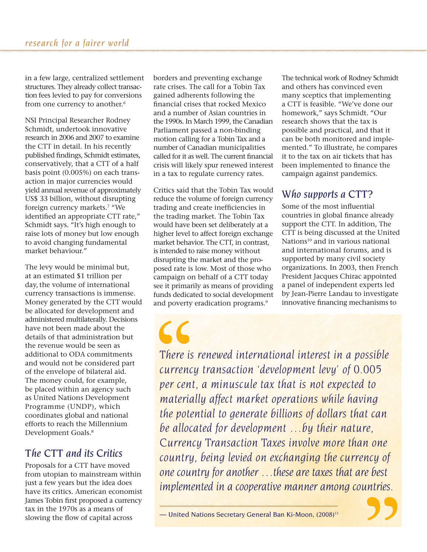in a few large, centralized settlement structures. They already collect transaction fees levied to pay for conversions from one currency to another.<sup>6</sup>

NSI Principal Researcher Rodney Schmidt, undertook innovative research in 2006 and 2007 to examine the CTT in detail. In his recently published findings, Schmidt estimates, conservatively, that a CTT of a half basis point (0.005%) on each transaction in major currencies would yield annual revenue of approximately US\$ 33 billion, without disrupting foreign currency markets.<sup>7</sup> "We identified an appropriate CTT rate," Schmidt says. "It's high enough to raise lots of money but low enough to avoid changing fundamental market behaviour."

The levy would be minimal but, at an estimated \$1 trillion per day, the volume of international currency transactions is immense. Money generated by the CTT would be allocated for development and administered multilaterally. Decisions have not been made about the details of that administration but the revenue would be seen as additional to ODA commitments and would not be considered part of the envelope of bilateral aid. The money could, for example, be placed within an agency such as United Nations Development Programme (UNDP), which coordinates global and national efforts to reach the Millennium Development Goals.8

#### *The CTT and its Critics*

Proposals for a CTT have moved from utopian to mainstream within just a few years but the idea does have its critics. American economist James Tobin first proposed a currency tax in the 1970s as a means of slowing the flow of capital across

borders and preventing exchange rate crises. The call for a Tobin Tax gained adherents following the financial crises that rocked Mexico and a number of Asian countries in the 1990s. In March 1999, the Canadian Parliament passed a non-binding motion calling for a Tobin Tax and a number of Canadian municipalities called for it as well. The current financial crisis will likely spur renewed interest in a tax to regulate currency rates.

Critics said that the Tobin Tax would reduce the volume of foreign currency trading and create inefficiencies in the trading market. The Tobin Tax would have been set deliberately at a higher level to affect foreign exchange market behavior. The CTT, in contrast, is intended to raise money without disrupting the market and the proposed rate is low. Most of those who campaign on behalf of a CTT today see it primarily as means of providing funds dedicated to social development and poverty eradication programs.<sup>9</sup>

 $\overline{\mathcal{L}}$ 

The technical work of Rodney Schmidt and others has convinced even many sceptics that implementing a CTT is feasible. "We've done our homework," says Schmidt. "Our research shows that the tax is possible and practical, and that it can be both monitored and implemented." To illustrate, he compares it to the tax on air tickets that has been implemented to finance the campaign against pandemics.

#### *Who supports a CTT?*

Some of the most influential countries in global finance already support the CTT. In addition, The CTT is being discussed at the United Nations<sup>10</sup> and in various national and international forums, and is supported by many civil society organizations. In 2003, then French President Jacques Chirac appointed a panel of independent experts led by Jean-Pierre Landau to investigate innovative financing mechanisms to

*There is renewed international interest in a possible currency transaction 'development levy' of 0.005 per cent, a minuscule tax that is not expected to materially affect market operations while having the potential to generate billions of dollars that can be allocated for development …by their nature, Currency Transaction Taxes involve more than one country, being levied on exchanging the currency of one country for another …these are taxes that are best implemented in a cooperative manner among countries.*

— United Nations Secretary General Ban Ki-Moon, (2008)11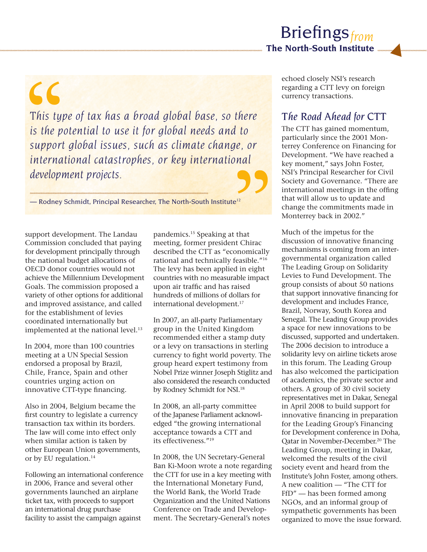$\epsilon$ *This type of tax has a broad global base, so there is the potential to use it for global needs and to support global issues, such as climate change, or international catastrophes, or key international development projects.* 

— Rodney Schmidt, Principal Researcher, The North-South Institute<sup>12</sup>

support development. The Landau Commission concluded that paying for development principally through the national budget allocations of OECD donor countries would not achieve the Millennium Development Goals. The commission proposed a variety of other options for additional and improved assistance, and called for the establishment of levies coordinated internationally but implemented at the national level.<sup>13</sup>

In 2004, more than 100 countries meeting at a UN Special Session endorsed a proposal by Brazil, Chile, France, Spain and other countries urging action on innovative CTT-type financing.

Also in 2004, Belgium became the first country to legislate a currency transaction tax within its borders. The law will come into effect only when similar action is taken by other European Union governments, or by EU regulation.<sup>14</sup>

Following an international conference in 2006, France and several other governments launched an airplane ticket tax, with proceeds to support an international drug purchase facility to assist the campaign against

pandemics.15 Speaking at that meeting, former president Chirac described the CTT as "economically rational and technically feasible."16 The levy has been applied in eight countries with no measurable impact upon air traffic and has raised hundreds of millions of dollars for international development.<sup>17</sup>

In 2007, an all-party Parliamentary group in the United Kingdom recommended either a stamp duty or a levy on transactions in sterling currency to fight world poverty. The group heard expert testimony from Nobel Prize winner Joseph Stiglitz and also considered the research conducted by Rodney Schmidt for NSI.18

In 2008, an all-party committee of the Japanese Parliament acknowledged "the growing international acceptance towards a CTT and its effectiveness."19

In 2008, the UN Secretary-General Ban Ki-Moon wrote a note regarding the CTT for use in a key meeting with the International Monetary Fund, the World Bank, the World Trade Organization and the United Nations Conference on Trade and Development. The Secretary-General's notes

echoed closely NSI's research regarding a CTT levy on foreign currency transactions.

#### *The Road Ahead for CTT*

The CTT has gained momentum, particularly since the 2001 Monterrey Conference on Financing for Development. "We have reached a key moment," says John Foster, NSI's Principal Researcher for Civil Society and Governance. "There are international meetings in the offing that will allow us to update and change the commitments made in Monterrey back in 2002."

Much of the impetus for the discussion of innovative financing mechanisms is coming from an intergovernmental organization called The Leading Group on Solidarity Levies to Fund Development. The group consists of about 50 nations that support innovative financing for development and includes France, Brazil, Norway, South Korea and Senegal. The Leading Group provides a space for new innovations to be discussed, supported and undertaken. The 2006 decision to introduce a solidarity levy on airline tickets arose in this forum. The Leading Group has also welcomed the participation of academics, the private sector and others. A group of 30 civil society representatives met in Dakar, Senegal in April 2008 to build support for innovative financing in preparation for the Leading Group's Financing for Development conference in Doha, Qatar in November-December.20 The Leading Group, meeting in Dakar, welcomed the results of the civil society event and heard from the Institute's John Foster, among others. A new coalition — "The CTT for FfD" — has been formed among NGOs, and an informal group of sympathetic governments has been organized to move the issue forward.